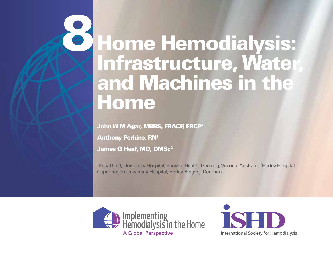# 8Home Hemodialysis: Infrastructure, Water and Machines in the Home

John W M Agar, MBBS, FRACP, FRCP<sup>1</sup>

Anthony Perkins, RN1

James G Heaf, MD, DMSc<sup>2</sup>

<sup>1</sup>Renal Unit, University Hospital, Barwon Health, Geelong, Victoria, Australia; <sup>2</sup>Herlev Hospital, Copenhagen University Hospital, Herlev Ringvej, Denmark



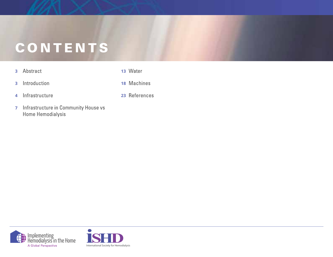# **CONTENTS**

2 Home HD – Setup in the Home

Abstract **3**

**13**

- Introduction **3**
- Infrastructure **4**
- **7** Infrastructure in Community House vs **Home Hemodialysis**
- **18**
- **23**



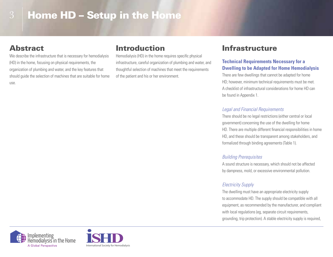### Abstract

We describe the infrastructure that is necessary for hemodialysis (HD) in the home, focusing on physical requirements, the organization of plumbing and water, and the key features that should guide the selection of machines that are suitable for home use.

### Introduction

Hemodialysis (HD) in the home requires specific physical infrastructure, careful organization of plumbing and water, and thoughtful selection of machines that meet the requirements of the patient and his or her environment.

### Infrastructure

#### **Technical Requirements Necessary for a Dwelling to be Adapted for Home Hemodialysis**

There are few dwellings that cannot be adapted for home HD; however, minimum technical requirements must be met. A checklist of infrastructural considerations for home HD can be found in Appendix 1.

#### *Legal and Financial Requirements*

There should be no legal restrictions (either central or local government) concerning the use of the dwelling for home HD. There are multiple different financial responsibilities in home HD, and these should be transparent among stakeholders, and formalized through binding agreements (Table 1).

#### *Building Prerequisites*

A sound structure is necessary, which should not be affected by dampness, mold, or excessive environmental pollution.

#### *Electricity Supply*

The dwelling must have an appropriate electricity supply to accommodate HD. The supply should be compatible with all equipment, as recommended by the manufacturer, and compliant with local regulations (eg, separate circuit requirements, grounding, trip protection). A stable electricity supply is required,



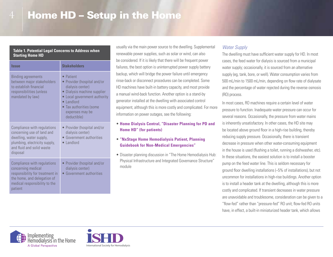#### **Table 1. Potential Legal Concerns to Address when Starting Home HD**

| <b>Issue</b>                                                                                                                                                    | <b>Stakeholders</b>                                                                                                                                                                                                      |
|-----------------------------------------------------------------------------------------------------------------------------------------------------------------|--------------------------------------------------------------------------------------------------------------------------------------------------------------------------------------------------------------------------|
| <b>Binding agreements</b><br>between major stakeholders<br>to establish financial<br>responsibilities (unless<br>mandated by law)                               | • Patient<br>Provider (hospital and/or<br>dialysis center)<br>Dialysis machine supplier<br>Local government authority<br>$\bullet$<br>Landlord<br>$\bullet$<br>• Tax authorities (some<br>expenses may be<br>deductible) |
| Compliance with regulations<br>concerning use of land and<br>dwelling, water supply,<br>plumbing, electricity supply,<br>and fluid and solid waste<br>disposal  | • Provider (hospital and/or<br>dialysis center)<br>• Government authorities<br>$\bullet$   andlord                                                                                                                       |
| Compliance with regulations<br>concerning medical<br>responsibility for treatment in<br>the home, and delegation of<br>medical responsibility to the<br>patient | • Provider (hospital and/or<br>dialysis center)<br>Government authorities                                                                                                                                                |

usually via the main power source to the dwelling. Supplemental renewable power supplies, such as solar or wind, can also be considered. If it is likely that there will be frequent power failures, the best option is uninterrupted power supply battery backup, which will bridge the power failure until emergency rinse-back or disconnect procedures can be completed. Some HD machines have built-in battery capacity, and most provide a manual wind-back function. Another option is a stand-by generator installed at the dwelling with associated control equipment, although this is more costly and complicated. For more information on power outages, see the following:

• **Home Dialysis Central, "Disaster Planning for PD and Home HD" (for patients)** 

#### • **"NxStage Home Hemodialysis Patient, Planning Guidebook for Non-Medical Emergencies"**

• Disaster planning discussion in "The Home Hemodialysis Hub: Physical Infrastructure and Integrated Governance Structure" module

#### *Water Supply*

The dwelling must have sufficient water supply for HD. In most cases, the feed water for dialysis is sourced from a municipal water supply; occasionally, it is sourced from an alternative supply (eg, tank, bore, or well). Water consumption varies from 500 mL/min to 1500 mL/min, depending on flow rate of dialysate and the percentage of water rejected during the reverse osmosis (RO) process.

In most cases, RO machines require a certain level of water pressure to function. Inadequate water pressure can occur for several reasons. Occasionally, the pressure from water mains is inherently unsatisfactory. In other cases, the HD site may be located above ground floor in a high-rise building, thereby reducing supply pressure. Occasionally, there is transient decrease in pressure when other water-consuming equipment in the house is used (flushing a toilet, running a dishwasher, etc). In these situations, the easiest solution is to install a booster pump on the feed water line. This is seldom necessary for ground floor dwelling installations (~5% of installations), but not uncommon for installations in high-rise buildings. Another option is to install a header tank at the dwelling, although this is more costly and complicated. If transient decreases in water pressure are unavoidable and troublesome, consideration can be given to a "flow-fed" rather than "pressure-fed" RO unit; flow-fed RO units have, in effect, a built-in miniaturized header tank, which allows



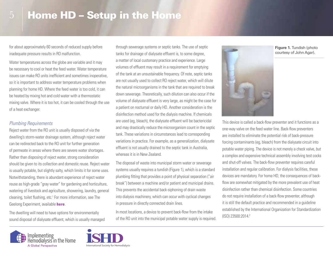for about approximately 60 seconds of reduced supply before inadequate pressure results in RO malfunction.

Water temperatures across the globe are variable and it may be necessary to cool or heat the feed water. Water temperature issues can make RO units inefficient and sometimes inoperative, so it is important to address water temperature problems when planning for home HD. Where the feed water is too cold, it can be heated by mixing hot and cold water with a thermostatic mixing valve. Where it is too hot, it can be cooled through the use of a heat exchanger.

#### *Plumbing Requirements*

Reject water from the RO unit is usually disposed of via the dwelling's storm-water drainage system, although reject water can be redirected back to the RO unit for further generation of permeate in areas where there are severe water shortages. Rather than disposing of reject water, strong consideration should be given to its collection and domestic reuse. Reject water is usually potable, but slightly salty, which limits it for some uses. Notwithstanding, there is abundant experience of reject water reuse as high-grade "gray water" for gardening and horticulture, watering of livestock and agriculture, showering, laundry, general cleaning, toilet flushing, etc.<sup>1</sup> For more information, see The Geelong Experiment, available **here**.

The dwelling will need to have options for environmentally sound disposal of dialysate effluent, which is usually managed through sewerage systems or septic tanks. The use of septic tanks for drainage of dialysate effluent is, to some degree, a matter of local customary practice and experience. Large volumes of effluent may result in a requirement for emptying of the tank at an unsustainable frequency. Of note, septic tanks are not usually used to collect RO reject water, which will dilute the natural microorganisms in the tank that are required to break down sewerage. Theoretically, such dilution can also occur if the volume of dialysate effluent is very large, as might be the case for a patient on nocturnal or daily HD. Another consideration is the disinfection method used for the dialysis machine. If chemicals are used (eg, bleach), the dialysate effluent will be bactericidal and may drastically reduce the microorganism count in the septic tank. These variations in circumstances lead to corresponding variations in practice. For example, as a generalization, dialysate effluent is not usually drained to the septic tank in Australia, whereas it is in New Zealand.

The disposal of waste into municipal storm water or sewerage systems usually requires a tundish (Figure 1), which is a standard plumbing fitting that provides a point of physical separation ("air break") between a machine and/or patient and municipal drains. This prevents the accidental back-siphoning of drain waste into dialysis machinery, which can occur with cyclical changes in pressure in directly connected drain lines.

In most locations, a device to prevent back-flow from the intake of the RO unit into the municipal potable water supply is required.



**Figure 1.** Tundish (photo courtesy of John Agar).

This device is called a back-flow preventer and it functions as a one-way valve on the feed water line. Back-flow preventers are installed to eliminate the potential risk of back-pressure forcing contaminants (eg, bleach) from the dialysate circuit into potable water piping. The device is not merely a check valve, but a complex and expensive technical assembly involving test cocks and shut-off valves. The back-flow preventer requires careful installation and regular calibration. For dialysis facilities, these devices are mandatory. For home HD, the consequences of backflow are somewhat mitigated by the more prevalent use of heat disinfection rather than chemical disinfection. Some countries do not require installation of a back-flow preventer, although it is still the default practice and recommended in a guideline established by the International Organization for Standardization (ISO) 23500:2014.2



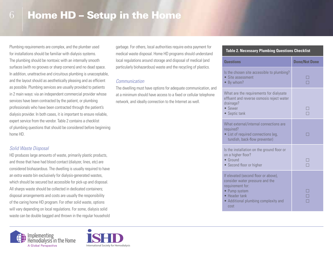Plumbing requirements are complex, and the plumber used for installations should be familiar with dialysis systems. The plumbing should be nontoxic with an internally smooth surfaces (with no grooves or sharp corners) and no dead space. In addition, unattractive and circuitous plumbing is unacceptable, and the layout should as aesthetically pleasing and as efficient as possible. Plumbing services are usually provided to patients in 2 main ways: via an independent commercial provider whose services have been contracted by the patient, or plumbing professionals who have been contracted through the patient's dialysis provider. In both cases, it is important to ensure reliable, expert service from the vendor. Table 2 contains a checklist of plumbing questions that should be considered before beginning home HD.

#### *Solid Waste Disposal*

HD produces large amounts of waste, primarily plastic products, and those that have had blood contact (dialyzer, lines, etc) are considered biohazardous. The dwelling is usually required to have an extra waste bin exclusively for dialysis-generated wastes, which should be secured but accessible for pick-up and disposal. All sharps waste should be collected in dedicated containers: disposal arrangements and costs are usually the responsibility of the caring home HD program. For other solid waste, options will vary depending on local regulations. For some, dialysis solid waste can be double bagged and thrown in the regular household

nplementing<br>emodialysis in the Home **A Global Perspective** 



garbage. For others, local authorities require extra payment for medical waste disposal. Home HD programs should understand local regulations around storage and disposal of medical (and particularly biohazardous) waste and the recycling of plastics.

#### *Communication*

The dwelling must have options for adequate communication, and at a minimum should have access to a fixed or cellular telephone network, and ideally connection to the Internet as well.

#### **Table 2. Necessary Plumbing Questions Checklist**

| <b>Questions</b>                                                                                                                                                              | <b>Done/Not Done</b> |
|-------------------------------------------------------------------------------------------------------------------------------------------------------------------------------|----------------------|
| Is the chosen site accessible to plumbing?<br>Site assessment<br>• By whom?                                                                                                   |                      |
| What are the requirements for dialysate<br>effluent and reverse osmosis reject water<br>drainage?<br>• Sewer<br>• Septic tank                                                 |                      |
| What external/internal connections are<br>required?<br>• List of required connections (eg,<br>tundish, back-flow preventer)                                                   |                      |
| Is the installation on the ground floor or<br>on a higher floor?<br>$\bullet$ Ground<br>• Second floor or higher                                                              |                      |
| If elevated (second floor or above),<br>consider water pressure and the<br>requirement for:<br>• Pump system<br>• Header tank<br>• Additional plumbing complexity and<br>cost |                      |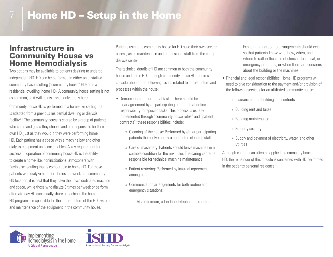### Infrastructure in Community House vs Home Hemodialysis

Two options may be available to patients desiring to undergo independent HD. HD can be performed in either an unstaffed community-based setting ("community house" HD) or in a residential dwelling (home HD). A community house setting is not as common, so it will be discussed only briefly here.

Community house HD is performed in a home-like setting that is adapted from a previous residential dwelling or dialysis facility.3-6 The community house is shared by a group of patients who come and go as they choose and are responsible for their own HD, just as they would if they were performing home HD. Each patient has a space with a machine bay and other dialysis equipment and consumables. A key requirement for successful operation of community house HD is the ability to create a home-like, noninstitutional atmosphere with flexible scheduling that is comparable to home HD. For those patients who dialyze 5 or more times per week at a community HD location, it is best that they have their own dedicated machine and space, while those who dialyze 3 times per week or perform alternate-day HD can usually share a machine. The home HD program is responsible for the infrastructure of the HD system and maintenance of the equipment in the community house.

Patients using the community house for HD have their own secure access, as do maintenance and professional staff from the caring dialysis center.

The technical details of HD are common to both the community house and home HD, although community house HD requires consideration of the following issues related to infrastructure and processes within the house:

- Demarcation of operational tasks. There should be clear agreement by all participating patients that define responsibility for specific tasks. This process is usually implemented through "community house rules" and "patient contracts"; these responsibilities include:
	- » Cleaning of the house: Performed by either participating patients themselves or by a contracted cleaning staff
	- » Care of machinery: Patients should leave machines in a suitable condition for the next user. The caring center is responsible for technical machine maintenance
	- » Patient rostering: Performed by internal agreement among patients
	- » Communication arrangements for both routine and emergency situations:
		- At a minimum, a landline telephone is required
- Explicit and agreed to arrangements should exist so that patients know who, how, when, and where to call in the case of clinical, technical, or emergency problems, or when there are concerns about the building or the machines
- Financial and legal responsibilities: Home HD programs will need to give consideration to the payment and/or provision of the following services for an affiliated community house:
	- » Insurance of the building and contents
	- » Building rent and taxes
	- » Building maintenance
	- » Property security
	- » Supply and payment of electricity, water, and other utilities

Although content can often be applied to community house HD, the remainder of this module is concerned with HD performed in the patient's personal residence.



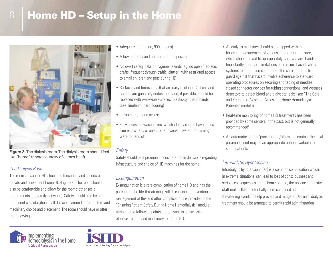

**Figure 2.** The dialysis room. The dialysis room should feel like "home" (photo courtesy of James Heaf).

#### *The Dialysis Room*

The room chosen for HD should be functional and conducive to safe and convenient home HD (Figure 2). The room should also be comfortable and allow for the room's other social requirements (eg, family activities). Safety should also be a prominent consideration in all decisions around infrastructure and machinery choice and placement. The room should have or offer the following:

- Adequate lighting (ie, 900 lumens)
- A low humidity and comfortable temperature
- No overt safety risks or hygiene hazards (eg, no open fireplace, drafts, frequent through traffic, clutter), with restricted access to small children and pets during HD
- Surfaces and furnishings that are easy to clean. Curtains and carpets are generally undesirable and, if possible, should be replaced with wet-wipe surfaces (plastic/synthetic blinds, tiles, linoleum, hard flooring)
- In-room telephone access
- Easy access to washbasins, which ideally should have handsfree elbow taps or an automatic sensor system for turning water on and off

#### *Safety*

Safety should be a prominent consideration in decisions regarding infrastructure and choice of HD machines for the home.

#### *Exsanguination*

Exsanguination is a rare complication of home HD and has the potential to be life-threatening. Full discussion of prevention and management of this and other complications is provided in the "Ensuring Patient Safety During Home Hemodialysis" module, although the following points are relevant to a discussion of infrastructure and machinery for home HD:

nplementing<br>emodialysis in the Home **A Global Perspective** 



- All dialysis machines should be equipped with monitors for exact measurement of venous and arterial pressure, which should be set to appropriately narrow alarm bands. Importantly, there are limitations of pressure-based safety systems to detect line separation. The core methods to guard against that hazard involve adherence to standard operating procedures on securing and taping of needles, closed connector devices for tubing connections, and wetness detectors to detect blood and dialysate leaks (see "The Care and Keeping of Vascular Access for Home Hemodialysis Patients" module)
- Real-time monitoring of home HD treatments has been provided by some centers in the past, but is not generally recommended7
- An automatic alarm ("panic button/alarm") to contact the local paramedic unit may be an appropriate option available for some patients

#### *Intradialytic Hypotension*

Intradialytic hypotension (IDH) is a common complication which, in extreme situations, can lead to loss of consciousness and serious consequences. In the home setting, the absence of onsite staff makes IDH a potentially more sustained and therefore threatening event. To help prevent and mitigate IDH, each dialysis treatment should be arranged to permit rapid administration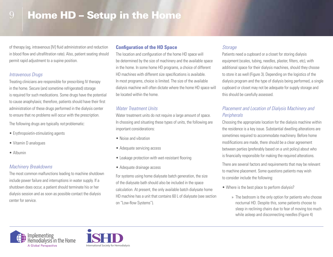of therapy (eg, intravenous [IV] fluid administration and reduction in blood flow and ultrafiltration rate). Also, patient seating should permit rapid adjustment to a supine position.

#### *Intravenous Drugs*

Treating clinicians are responsible for prescribing IV therapy in the home. Secure (and sometime refrigerated) storage is required for such medications. Some drugs have the potential to cause anaphylaxis; therefore, patients should have their first administration of these drugs performed in the dialysis center to ensure that no problems will occur with the prescription.

The following drugs are typically *not* problematic:

- Erythropoietin-stimulating agents
- Vitamin D analogues
- Albumin

#### *Machinery Breakdowns*

The most common malfunctions leading to machine shutdown include power failure and interruptions in water supply. If a shutdown does occur, a patient should terminate his or her dialysis session and as soon as possible contact the dialysis center for service.

#### **Configuration of the HD Space**

The location and configuration of the home HD space will be determined by the size of machinery and the available space in the home. In some home HD programs, a choice of different HD machines with different size specifications is available. In most programs, choice is limited. The size of the available dialysis machine will often dictate where the home HD space will be located within the home.

#### *Water Treatment Units*

Water treatment units do not require a large amount of space. In choosing and situating these types of units, the following are important considerations:

- Noise and vibration
- Adequate servicing access
- Leakage protection with wet-resistant flooring
- Adequate drainage access

For systems using home dialysate batch generation, the size of the dialysate bath should also be included in the space calculation. At present, the only available batch dialysate home HD machine has a unit that contains 60 L of dialysate (see section on "Low-flow Systems").

#### *Storage*

Patients need a cupboard or a closet for storing dialysis equipment (scales, tubing, needles, plaster, filters, etc), with additional space for their dialysis machines, should they choose to store it as well (Figure 3). Depending on the logistics of the dialysis program and the type of dialysis being performed, a single cupboard or closet may not be adequate for supply storage and this should be carefully assessed.

#### *Placement and Location of Dialysis Machinery and Peripherals*

Choosing the appropriate location for the dialysis machine within the residence is a key issue. Substantial dwelling alterations are sometimes required to accommodate machinery. Before home modifications are made, there should be a clear agreement between parties (preferably based on a unit policy) about who is financially responsible for making the required alterations.

There are several factors and requirements that may be relevant to machine placement. Some questions patients may wish to consider include the following:

- Where is the best place to perform dialysis?
	- » The bedroom is the only option for patients who choose nocturnal HD. Despite this, some patients choose to sleep in reclining chairs due to fear of moving too much while asleep and disconnecting needles (Figure 4)



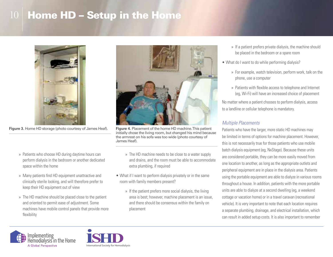

**Figure 3.** Home HD storage (photo courtesy of James Heaf).

- » Patients who choose HD during daytime hours can perform dialysis in the bedroom or another dedicated space within the home
- » Many patients find HD equipment unattractive and clinically sterile looking, and will therefore prefer to keep their HD equipment out of view
- » The HD machine should be placed close to the patient and oriented to permit ease of adjustment. Some machines have mobile control panels that provide more flexibility



**Figure 4.** Placement of the home HD machine. This patient initially chose the living room, but changed his mind because the armrest on his sofa was too wide (photo courtesy of James Heaf).

- » The HD machine needs to be close to a water supply and drains, and the room must be able to accommodate extra plumbing, if required
- What if I want to perform dialysis privately or in the same room with family members present?
	- » If the patient prefers more social dialysis, the living area is best; however, machine placement is an issue, and there should be consensus within the family on placement
- » If a patient prefers private dialysis, the machine should be placed in the bedroom or a spare room
- What do I want to do while performing dialysis?
	- » For example, watch television, perform work, talk on the phone, use a computer
	- » Patients with flexible access to telephone and Internet (eg, Wi-Fi) will have an increased choice of placement

No matter where a patient chooses to perform dialysis, access to a landline or cellular telephone is mandatory.

#### *Multiple Placements*

Patients who have the larger, more static HD machines may be limited in terms of options for machine placement. However, this is not necessarily true for those patients who use mobile batch dialysis equipment (eg, NxStage). Because these units are considered portable, they can be more easily moved from one location to another, as long as the appropriate outlets and peripheral equipment are in place in the dialysis area. Patients using the portable equipment are able to dialyze in various rooms throughout a house. In addition, patients with the more portable units are able to dialyze at a second dwelling (eg, a weekend cottage or vacation home) or in a travel caravan (recreational vehicle). It is very important to note that each location requires a separate plumbing, drainage, and electrical installation, which can result in added setup costs. It is also important to remember



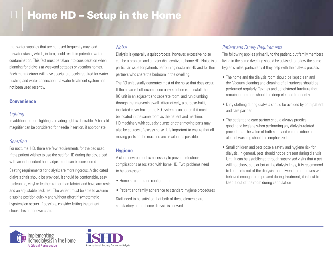that water supplies that are not used frequently may lead to water stasis, which, in turn, could result in potential water contamination. This fact must be taken into consideration when planning for dialysis at weekend cottages or vacation homes. Each manufacturer will have special protocols required for water flushing and water connection if a water treatment system has not been used recently.

#### **Convenience**

#### *Lighting*

In addition to room lighting, a reading light is desirable. A back-lit magnifier can be considered for needle insertion, if appropriate.

#### *Seat/Bed*

For nocturnal HD, there are few requirements for the bed used. If the patient wishes to use the bed for HD during the day, a bed with an independent head adjustment can be considered.

Seating requirements for dialysis are more rigorous. A dedicated dialysis chair should be provided. It should be comfortable, easy to clean (ie, vinyl or leather, rather than fabric), and have arm rests and an adjustable back rest. The patient must be able to assume a supine position quickly and without effort if symptomatic hypotension occurs. If possible, consider letting the patient choose his or her own chair.

#### *Noise*

Dialysis is generally a quiet process; however, excessive noise can be a problem and a major disincentive to home HD. Noise is a particular issue for patients performing nocturnal HD and for their partners who share the bedroom in the dwelling.

The RO unit usually generates most of the noise that does occur. If the noise is bothersome, one easy solution is to install the RO unit in an adjacent and separate room, and run plumbing through the intervening wall. Alternatively, a purpose-built, insulated cover box for the RO system is an option if it must be located in the same room as the patient and machine. HD machinery with squeaky pumps or other moving parts may also be sources of excess noise. It is important to ensure that all moving parts on the machine are as silent as possible.

#### **Hygiene**

A clean environment is necessary to prevent infectious complications associated with home HD. Two problems need to be addressed:

- Home structure and configuration
- Patient and family adherence to standard hygiene procedures

Staff need to be satisfied that both of these elements are satisfactory before home dialysis is allowed.

#### *Patient and Family Requirements*

The following applies primarily to the patient, but family members living in the same dwelling should be advised to follow the same hygienic rules, particularly if they help with the dialysis process.

- The home and the dialysis room should be kept clean and dry. Vacuum cleaning and cleaning of all surfaces should be performed regularly. Textiles and upholstered furniture that remain in the room should be deep-cleaned frequently
- Dirty clothing during dialysis should be avoided by both patient and care partner
- The patient and care partner should always practice good hand hygiene when performing any dialysis-related procedures. The value of both soap and chlorhexidine or alcohol washing should be emphasized
- Small children and pets pose a safety and hygiene risk for dialysis. In general, pets should not be present during dialysis. Until it can be established through supervised visits that a pet will not chew, pull, or bat at the dialysis lines, it is recommend to keep pets out of the dialysis room. Even if a pet proves well behaved enough to be present during treatment, it is best to keep it out of the room during cannulation



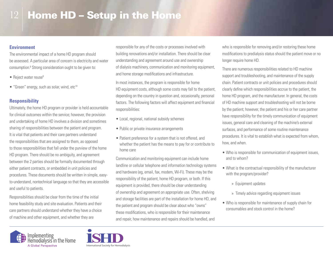#### **Environment**

The environmental impact of a home HD program should be assessed. A particular area of concern is electricity and water consumption.<sup>8</sup> Strong consideration ought to be given to:

- Reject water reuse<sup>9</sup>
- $\bullet$  "Green" energy, such as solar, wind, etc<sup>10</sup>

#### **Responsibility**

Ultimately, the home HD program or provider is held accountable for clinical outcomes within the service; however, the provision and undertaking of home HD involves a division and sometimes sharing of responsibilities between the patient and program. It is vital that patients and their care partners understand the responsibilities that are assigned to them, as opposed to those responsibilities that fall under the purview of the home HD program. There should be no ambiguity, and agreement between the 2 parties should be formally documented through either patient contracts, or embedded in unit policies and procedures. These documents should be written in simple, easyto-understand, nontechnical language so that they are accessible and useful to patients.

Responsibilities should be clear from the time of the initial home feasibility study and site evaluation. Patients and their care partners should understand whether they have a choice of machine and other equipment, and whether they are

responsible for any of the costs or processes involved with building renovations and/or installation. There should be clear understanding and agreement around use and ownership of dialysis machinery, communication and monitoring equipment, and home storage modifications and infrastructure.

In most instances, the program is responsible for home HD equipment costs, although some costs may fall to the patient, depending on the country in question and, occasionally, personal factors. The following factors will affect equipment and financial responsibilities:

- Local, regional, national subsidy schemes
- Public or private insurance arrangements
- Patient preference for a system that is not offered, and whether the patient has the means to pay for or contribute to home care

Communication and monitoring equipment can include home landline or cellular telephone and information technology systems and hardware (eg, email, fax, modem, Wi-Fi). These may be the responsibility of the patient, home HD program, or both. If this equipment is provided, there should be clear understanding of ownership and agreement on appropriate use. Often, shelving and storage facilities are part of the installation for home HD, and the patient and program should be clear about who "owns" these modifications, who is responsible for their maintenance and repair, how maintenance and repairs should be handled, and

who is responsible for removing and/or restoring these home modifications to predialysis status should the patient move or no longer require home HD.

There are numerous responsibilities related to HD machine support and troubleshooting, and maintenance of the supply chain. Patient contracts or unit policies and procedures should clearly define which responsibilities accrue to the patient, the home HD program, and the manufacturer. In general, the costs of HD machine support and troubleshooting will not be borne by the patient; however, the patient and his or her care partner have responsibility for the timely communication of equipment issues, general care and cleaning of the machine's external surfaces, and performance of some routine maintenance procedures. It is vital to establish what is expected from whom, how, and when.

- Who is responsible for communication of equipment issues, and to whom?
- What is the contractual responsibility of the manufacturer with the program/provider?
	- » Equipment updates
	- » Timely advice regarding equipment issues
- Who is responsible for maintenance of supply chain for consumables and stock control in the home?



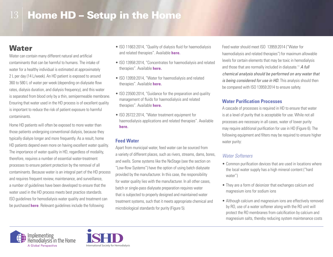### **Water**

Water can contain many different natural and artificial contaminants that can be harmful to humans. The intake of water for a healthy individual is estimated at approximately 2 L per day (14 L/week). An HD patient is exposed to around 360 to 580 L of water per week (depending on dialysate flow rates, dialysis duration, and dialysis frequency), and this water is separated from blood only by a thin, semipermeable membrane. Ensuring that water used in the HD process is of excellent quality is important to reduce the risk of patient exposure to harmful contaminants.

Home HD patients will often be exposed to more water than those patients undergoing conventional dialysis, because they typically dialyze longer and more frequently. As a result, home HD patients depend even more on having excellent water quality. The importance of water quality in HD, regardless of modality, therefore, requires a number of essential water-treatment processes to ensure patient protection by the removal of all contaminants. Because water is an integral part of the HD process and requires frequent review, maintenance, and surveillance, a number of guidelines have been developed to ensure that the water used in the HD process meets best practice standards. ISO guidelines for hemodialysis water quality and treatment can be purchased **here**. Relevant guidelines include the following:

- ISO 11663:2014, "Quality of dialysis fluid for haemodialysis and related therapies". Available **here.**
- ISO 13958:2014, "Concentrates for haemodialysis and related therapies". Available **here.**
- ISO 13959:2014, "Water for haemodialysis and related therapies". Available **here.**
- ISO 23500:2014, "Guidance for the preparation and quality management of fluids for haemodialysis and related therapies". Available **here.**
- ISO 26722:2014, "Water treatment equipment for haemodialysis applications and related therapies". Available **here.**

#### **Feed Water**

Apart from municipal water, feed water can be sourced from a variety of different places, such as rivers, streams, dams, bores, and wells. Some systems like the NxStage (see the section on "Low-flow Systems") have the option of using batch dialysate provided by the manufacturer. In this case, the responsibility for water quality lies with the manufacturer. In all other cases, batch or single-pass dialysate preparation requires water that is subjected to properly designed and maintained water treatment systems, such that it meets appropriate chemical and microbiological standards for purity (Figure 5).

Feed water should meet ISO 13959:2014 ("Water for haemodialysis and related therapies") for maximum allowable levels for certain elements that may be toxic in hemodialysis and those that are normally included in dialysate.11 *A full chemical analysis should be performed on any water that is being considered for use in HD.* This analysis should then be compared with ISO 13959:2014 to ensure safety.

#### **Water Purification Processes**

A cascade of processes is required in HD to ensure that water is at a level of purity that is acceptable for use. While not all processes are necessary in all cases, water of lower purity may require additional purification for use in HD (Figure 6). The following equipment and filters may be required to ensure higher water purity:

#### *Water Softeners*

- Common purification devices that are used in locations where the local water supply has a high mineral content ("hard water")
- They are a form of deionizer that exchanges calcium and magnesium ions for sodium ions
- Although calcium and magnesium ions are effectively removed by RO, use of a water softener along with the RO unit will protect the RO membranes from calcification by calcium and magnesium salts, thereby reducing system maintenance costs



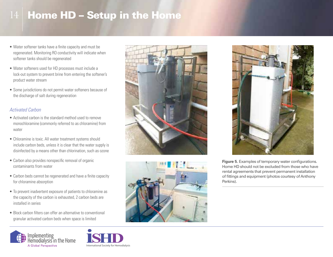- Water softener tanks have a finite capacity and must be regenerated. Monitoring RO conductivity will indicate when softener tanks should be regenerated
- Water softeners used for HD processes must include a lock-out system to prevent brine from entering the softener's product water stream
- Some jurisdictions do not permit water softeners because of the discharge of salt during regeneration

#### *Activated Carbon*

- Activated carbon is the standard method used to remove monochloramine (commonly referred to as chloramine) from water
- Chloramine is toxic. All water treatment systems should include carbon beds, unless it is clear that the water supply is disinfected by a means other than chlorination, such as ozone
- Carbon also provides nonspecific removal of organic contaminants from water
- Carbon beds cannot be regenerated and have a finite capacity for chloramine absorption
- To prevent inadvertent exposure of patients to chloramine as the capacity of the carbon is exhausted, 2 carbon beds are installed in series
- Block carbon filters can offer an alternative to conventional granular activated carbon beds when space is limited







**Figure 5.** Examples of temporary water configurations. Home HD should not be excluded from those who have rental agreements that prevent permanent installation of fittings and equipment (photos courtesy of Anthony Perkins).



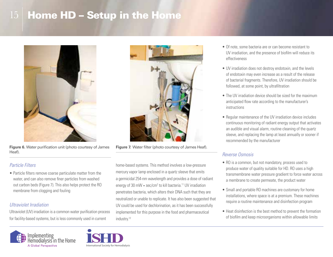

**Figure 6.** Water purification unit (photo courtesy of James Heaf).

#### *Particle Filters*

• Particle filters remove coarse particulate matter from the water, and can also remove finer particles from washed out carbon beds (Figure 7). This also helps protect the RO membrane from clogging and fouling

#### *Ultraviolet Irradiation*

Ultraviolet (UV) irradiation is a common water purification process for facility-based systems, but is less commonly used in current



**Figure 7.** Water filter (photo courtesy of James Heaf).

home-based systems. This method involves a low-pressure mercury vapor lamp enclosed in a quartz sleeve that emits a germicidal 254-nm wavelength and provides a dose of radiant energy of 30 mW • sec/cm<sup>2</sup> to kill bacteria.<sup>11</sup> UV irradiation penetrates bacteria, which alters their DNA such that they are neutralized or unable to replicate. It has also been suggested that UV could be used for dechlorination, as it has been successfully implemented for this purpose in the food and pharmaceutical industry.<sup>12</sup>





- Of note, some bacteria are or can become resistant to UV irradiation, and the presence of biofilm will reduce its effectiveness
- UV irradiation does not destroy endotoxin, and the levels of endotoxin may even increase as a result of the release of bacterial fragments. Therefore, UV irradiation should be followed, at some point, by ultrafiltration
- The UV irradiation device should be sized for the maximum anticipated flow rate according to the manufacturer's instructions
- Regular maintenance of the UV irradiation device includes continuous monitoring of radiant energy output that activates an audible and visual alarm, routine cleaning of the quartz sleeve, and replacing the lamp at least annually or sooner if recommended by the manufacturer

#### *Reverse Osmosis*

- RO is a common, but not mandatory, process used to produce water of quality suitable for HD. RO uses a high transmembrane water pressure gradient to force water across a membrane to create permeate, the product water
- Small and portable RO machines are customary for home installations, where space is at a premium. These machines require a routine maintenance and disinfection program
- Heat disinfection is the best method to prevent the formation of biofilm and keep microorganisms within allowable limits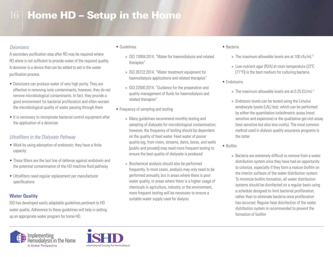#### *Deionizers*

A secondary purification step after RO may be required where RO alone is not sufficient to provide water of the required quality. A deionizer is a device that can be added to aid in the water purification process.

- Deionizers can produce water of very high purity. They are effective in removing ionic contaminants; however, they do not remove microbiological contaminants. In fact, they provide a good environment for bacterial proliferation and often worsen the microbiological quality of water passing through them
- It is necessary to incorporate bacterial control equipment after the application of a deionizer

#### *Ultrafilters in the Dialysate Pathway*

- Work by using adsorption of endotoxin; they have a finite capacity
- These filters are the last line of defense against endotoxin and the potential contamination of the HD machine fluid pathway
- Ultrafilters need regular replacement per manufacturer specifications

#### **Water Quality**

ISO has developed easily adaptable guidelines pertinent to HD water quality. Adherence to these guidelines will help in setting up an appropriate water program for home HD.

#### • Guidelines

- » ISO 13959:2014, "Water for haemodialysis and related therapies"
- » ISO 26722:2014, "Water treatment equipment for haemodialysis applications and related therapies"
- » ISO 23500:2014, "Guidance for the preparation and quality management of fluids for haemodialysis and related therapies"
- Frequency of sampling and testing
	- » Many guidelines recommend monthly testing and sampling of dialysate for microbiological contamination; however, the frequency of testing should be dependent on the quality of feed water. Feed water of poorer quality (eg, from rivers, streams, dams, bores, and wells [public and private]) may need more frequent testing to ensure the best quality of dialysate is produced
	- » Biochemical analysis should also be performed frequently. In most cases, analysis may only need to be performed annually, but in areas where there is poor water quality, or areas where there is a higher usage of chemicals in agriculture, industry, or the environment, more frequent testing will be necessary to ensure a suitable water supply used for dialysis

#### • Bacteria

- » The maximum allowable levels are at 100 cfu/mL<sup>11</sup>
- » Low-nutrient agar (R2A) at room temperature (22ºC [71°F]) is the best medium for culturing bacteria
- Endotoxins
	- » The maximum allowable levels are at 0.25 EU/mL<sup>11</sup>
	- » Endotoxin levels can be tested using the Limulus amebocyte lysate (LAL) test, which can be performed by either the quantitative turbidimetric assay (most sensitive and expensive) or the qualitative gel-clot assay (less sensitive but also less costly). The most common method used in dialysis quality assurance programs is the latter
- Biofilm
	- » Bacteria are extremely difficult to remove from a water distribution system once they have had an opportunity to colonize, especially if they form a mature biofilm on the interior surfaces of the water distribution system. To minimize biofilm formation, all water distribution systems should be disinfected on a regular basis using a schedule designed to limit bacterial proliferation, rather than to eliminate bacteria once proliferation has occurred. Regular heat disinfection of the water distribution system is recommended to prevent the formation of biofilm



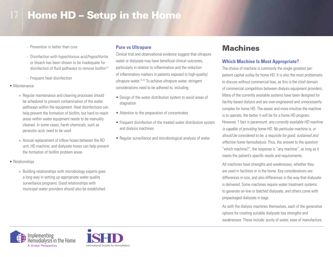- Prevention is better than cure
- Disinfection with hypochlorous acid/hypochlorite or bleach has been shown to be inadequate for disinfection of fluid pathways to remove biofilm<sup>13</sup>
- Frequent heat disinfection
- Maintenance
	- » Regular maintenance and cleaning processes should be scheduled to prevent contamination of the water pathways within the equipment. Heat disinfections can help prevent the formation of biofilm, but hard-to-reach areas within water equipment needs to be manually cleaned. In some cases, harsh chemicals, such as peracetic acid, need to be used
	- » Annual replacement of inflow hoses between the RO unit, HD machine, and dialysate hoses can help prevent the formation of biofilm problem areas
- Relationships
	- » Building relationships with microbiology experts goes a long way in setting up appropriate water quality surveillance programs. Good relationships with municipal water providers should also be established

#### **Pure vs Ultrapure**

Clinical trial and observational evidence suggest that ultrapure water or dialysate may have beneficial clinical outcomes, particularly in relation to inflammation and the reduction of inflammatory markers in patients exposed to high-quality/ ultrapure water.14-22 To achieve ultrapure water, stringent considerations need to be adhered to, including:

- Design of the water distribution system to avoid areas of stagnation
- Attention to the preparation of concentrates
- Frequent disinfection of the treated water distribution system and dialysis machines
- Regular surveillance and microbiological analysis of water

### Machines

#### **Which Machine Is Most Appropriate?**

The choice of machine is commonly the single greatest perpatient capital outlay for home HD. It is also the most problematic to discuss without commercial bias, as this is the chief domain of commercial competition between dialysis equipment providers. Many of the currently available systems have been designed for facility-based dialysis and are over-engineered and unnecessarily complex for home HD. The easier and more intuitive the machine is to operate, the better it will be for a home HD program. However, 1 fact is paramount: *any currently available HD machine is capable of providing home HD. No particular machine is, or should be considered to be, a requisite for good, sustained and effective home hemodialysis.* Thus, the answer to the question "which machine?", the response is "any machine", as long as it meets the patient's specific needs and requirements.

All machines have strengths and weaknesses, whether they are used in facilities or in the home. Key considerations are differences in size, and also differences in the way that dialysate is delivered. Some machines require water treatment systems to generate on-line or batched dialysate, and others come with prepackaged dialysate in bags.

As with the dialysis machines themselves, each of the generative options for creating suitable dialysate has strengths and weaknesses. These include: purity of water, ease of manufacture,



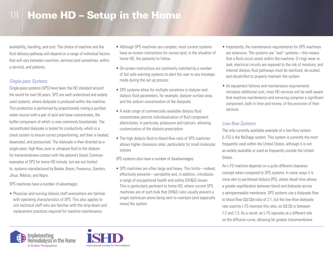availability, handling, and cost. The choice of machine and the fluid delivery pathway will depend on a range of individual factors that will vary between countries, services (and sometimes, within a service), and patients.

#### *Single-pass Systems*

Single-pass systems (SPS) have been the HD standard around the world for over 50 years. SPS are well understood and widely used systems, where dialysate is produced within the machine. This production is performed by proportionally mixing a purified water source with a pair of acid and base concentrates, the buffer component of which is now commonly bicarbonate. The reconstituted dialysate is tested for conductivity, which is a check system to ensure correct proportioning, and then is heated, deaerated, and pressurized. The dialysate is then directed as a single-pass, high-flow, pure or ultrapure fluid to the dialyzer for transmembrane contact with the patient's blood. Common examples of SPS for home HD include, but are not limited to, systems manufactured by Baxter, Braun, Fresenius, Gambro, Jihua, Nikkiso, and Nipro.

SPS machines have a number of advantages:

• Physician and nursing dialysis staff everywhere are familiar with operating characteristics of SPS. This also applies to unit technical staff who are familiar with the strip-down and replacement practices required for machine maintenance

- Although SPS machines are complex, most current systems have on-screen instructions for nurses (and, in the situation of home HD, the patients) to follow
- On-screen instructions are commonly matched by a number of fail-safe warning systems to alert the user to any missteps made during the set up process
- SPS systems allow for multiple variations in dialyzer and dialysis fluid parameters, for example, dialyzer surface area, and the sodium concentration of the dialysate
- A wide range of commercially available dialysis fluid concentrates permits individualization of fluid component electrolytes, in particular, potassium and calcium, allowing customization of the dialysis prescription
- The high dialysis fluid-to-blood-flow ratio of SPS machines allows higher clearance rates, particularly for small molecular solutes

SPS systems also have a number of disadvantages:

• SPS machines are often large and heavy. This limits—indeed, effectively prevents—portability and, in addition, introduces a range of occupational health and safety (OH&S) issues. This is particularly pertinent to home HD, where current SPS machines are of such bulk that OH&S rules usually prevent a single technician alone being sent to maintain (and especially move) the system

- Importantly, the maintenance requirements for SPS machines are extensive. The systems are "wet" systems—this means that a fluid circuit exists within the machine. O-rings wear or leak; electrical circuits are exposed to the risk of moisture; and internal dialysis fluid pathways must be sterilized, de-scaled, and decalcified to properly maintain the system
- As equipment failures and maintenance requirements introduce additional cost, most HD services will be well aware that machine maintenance and servicing comprise a significant component, both in time and money, of the provision of their services

#### *Low-flow Systems*

The only currently available example of a low-flow system (L-FS) is the NxStage system. This system is currently the most frequently used within the United States, although it is not as widely available or used as frequently outside the United States.

An L-FS machine depends on a quite different clearance concept when compared to SPS systems. In some ways it is more akin to peritoneal dialysis (PD), where dwell time allows a greater equilibration between blood and dialysate across a semipermeable membrane. SPS systems use a dialysate flow to blood flow (Qd:Qb) ratio of 2:1, but the low-flow dialysate rate used by L-FS reverses this ratio, so Qd:Qb is between 1:2 and 1:3. As a result, an L-FS operates at a different site on the diffusion curve, allowing far greater transmembrane



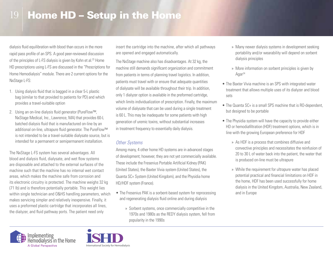dialysis fluid equilibration with blood than occurs in the more rapid pass profile of an SPS. A good peer-reviewed discussion of the principles of L-FS dialysis is given by Kohn et al.<sup>23</sup> Home HD prescriptions using L-FS are discussed in the "Prescriptions for Home Hemodialysis" module. There are 2 current options for the NxStage L-FS:

- 1. Using dialysis fluid that is bagged in a clear 5-L plastic bag (similar to that provided to patients for PD) and which provides a travel-suitable option
- 2. Using an on-line dialysis fluid generator (PureFlow™, NxStage Medical, Inc., Lawrence, MA) that provides 60-L batched dialysis fluid that is manufactured on-line by an additional on-line, ultrapure fluid generator. The PureFlow™ is not intended to be a travel-suitable dialysate source, but is intended for a permanent or semipermanent installation.

The NxStage L-FS system has several advantages. All blood and dialysis fluid, dialysate, and wet flow systems are disposable and attached to the external surfaces of the machine such that the machine has no internal wet contact areas, which makes the machine safe from corrosion and its electronic circuitry is protected. The machine weighs 32 kg (71 lb) and is therefore potentially portable. This weight lies within single technician and O&HS handling parameters, which makes servicing simpler and relatively inexpensive. Finally, it uses a preformed plastic cartridge that incorporates all lines, the dialyzer, and fluid pathway ports. The patient need only

insert the cartridge into the machine, after which all pathways are opened and engaged automatically.

The NxStage machine also has disadvantages. At 32 kg, the machine still demands significant organization and commitment from patients in terms of planning travel logistics. In addition, patients must travel with or ensure that adequate quantities of dialysate will be available throughout their trip. In addition, only 1 dialyzer option is available in the preformed cartridge, which limits individualization of prescription. Finally, the maximum volume of dialysate that can be used during a single treatment is 60 L. This may be inadequate for some patients with high generation of uremic toxins, without substantial increases in treatment frequency to essentially daily dialysis.

#### *Other Systems*

Among many, 4 other home HD systems are in advanced stages of development; however, they are not yet commercially available. These include the Fresenius Portable Artificial Kidney (PAK) (United States), the Baxter Vivia system (United States), the Quanta SC+ System (United Kingdom), and the Physidia home HD/HDF system (France).

- The Fresenius PAK is a sorbent-based system for reprocessing and regenerating dialysis fluid online and during dialysis
	- » Sorbent systems, once commercially competitive in the 1970s and 1980s as the REDY dialysis system, fell from popularity in the 1990s
- » Many newer dialysis systems in development seeking portability and/or wearability will depend on sorbent dialysis principles
- » More information on sorbent principles is given by Agar<sup>24</sup>
- The Baxter Vivia machine is an SPS with integrated water treatment that allows multiple uses of its dialyzer and blood sets
- The Quanta SC+ is a small SPS machine that is RO-dependent, but designed to be portable
- The Physidia system will have the capacity to provide either HD or hemodiafiltration (HDF) treatment options, which is in line with the growing European preference for HDF
	- » As HDF is a process that combines diffusive and convective principles and necessitates the reinfusion of 20 to 30 L of water back into the patient, the water that is produced on-line must be ultrapure
	- » While the requirement for ultrapure water has placed potential practical and financial limitations on HDF in the home, HDF has been used successfully for home dialysis in the United Kingdom, Australia, New Zealand, and in Europe



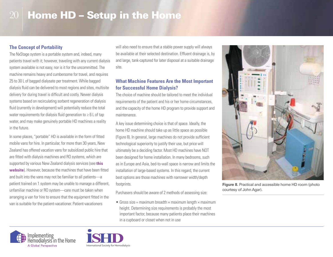#### **The Concept of Portability**

The NxStage system is a portable system and, indeed, many patients travel with it; however, traveling with any current dialysis system available is not easy, nor is it for the uncommitted. The machine remains heavy and cumbersome for travel, and requires 25 to 30 L of bagged dialysate per treatment. While bagged dialysis fluid can be delivered to most regions and sites, multisite delivery for during travel is difficult and costly. Newer dialysis systems based on recirculating sorbent regeneration of dialysis fluid (currently in development) will potentially reduce the total water requirements for dialysis fluid generation to ≥ 6 L of tap water, and may make genuinely portable HD machines a reality in the future.

In some places, "portable" HD is available in the form of fitted mobile vans for hire. In particular, for more than 30 years, New Zealand has offered vacation vans for subsidized public hire that are fitted with dialysis machines and RO systems, which are supported by various New Zealand dialysis services (see **this website**). However, because the machines that have been fitted and built into the vans may not be familiar to all patients—a patient trained on 1 system may be unable to manage a different, unfamiliar machine or RO system—care must be taken when arranging a van for hire to ensure that the equipment fitted in the van is suitable for the patient-vacationer. Patient-vacationers

will also need to ensure that a stable power supply will always be available at their selected destination. Effluent drainage is, by and large, tank-captured for later disposal at a suitable drainage site.

#### **What Machine Features Are the Most Important for Successful Home Dialysis?**

The choice of machine should be tailored to meet the individual requirements of the patient and his or her home circumstances, and the capacity of the home HD program to provide support and maintenance.

A key issue determining choice is that of space. Ideally, the home HD machine should take up as little space as possible (Figure 8). In general, large machines do not provide sufficient technological superiority to justify their use, but price will ultimately be a deciding factor. Most HD machines have NOT been designed for home installation. In many bedrooms, such as in Europe and Asia, bed-to-wall space is narrow and limits the installation of large-based systems. In this regard, the current best options are those machines with narrower width/depth footprints.

Purchasers should be aware of 2 methods of assessing size:

• Gross size = maximum breadth  $\times$  maximum length  $\times$  maximum height. Determining size requirements is probably the most important factor, because many patients place their machines in a cupboard or closet when not in use



**Figure 8.** Practical and accessible home HD room (photo courtesy of John Agar).



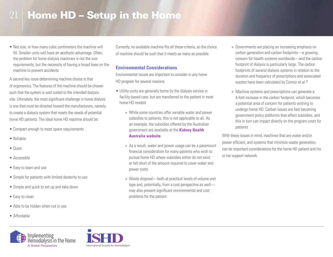• Net size, or how many cubic centimeters the machine will fill. Smaller units will have an aesthetic advantage. Often, the problem for home dialysis machines is not the size requirements, but the necessity of having a broad base on the machine to prevent accidents

A second key issue determining machine choice is that of ergonomics. The features of the machine should be chosen such that the system is well suited to the intended dialysis site. Ultimately, the most significant challenge in home dialysis is one that must be directed toward the manufacturers, namely, to create a dialysis system that meets the needs of potential home HD patients. The ideal home HD machine should be:

- Compact enough to meet space requirements
- Reliable
- Quiet
- Accessible
- Easy to learn and use
- Simple for patients with limited dexterity to use
- Simple and quick to set up and take down
- Easy to clean
- Able to be hidden when not in use
- Affordable



Currently, no available machine fits all these criteria, so the choice of machine should be such that it meets as many as possible.

#### **Environmental Considerations**

Environmental issues are important to consider in any home HD program for several reasons:

- Utility costs are generally borne by the dialysis service in facility-based care, but are transferred to the patient in most home HD models
	- » While some countries offer variable water and power subsidies to patients, this is not applicable to all. As an example, the subsidies offered by the Australian government are available at the **Kidney Health Australia website**.
	- » As a result, water and power usage can be a paramount financial consideration for many patients who wish to pursue home HD where subsidies either do not exist or fall short of the amount required to cover water and power costs
	- » Waste disposal—both at practical levels of volume and type and, potentially, from a cost perspective as well may also present significant environmental and cost problems for the patient
- » Governments are placing an increasing emphasis on carbon generation and carbon footprints—a growing concern for health systems worldwide—and the carbon footprint of dialysis is particularly large. The carbon footprints of several dialysis systems in relation to the duration and frequency of prescriptions and associated wastes have been calculated by Connor et al.<sup>25</sup>
- » Machine systems and prescriptions can generate a 4-fold increase in the carbon footprint, which becomes a potential area of concern for patients wishing to undergo home HD. Carbon issues are fast becoming government policy platforms that affect subsidies, and this in turn can impact directly on the program costs for patients

With these issues in mind, machines that are water and/or power efficient, and systems that minimize waste generation, can be important considerations for the home HD patient and his or her support network.

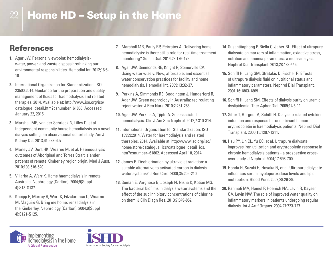### **References**

- **1.** Agar JW. Personal viewpoint: hemodialysiswater, power, and waste disposal: rethinking our environmental responsibilities. Hemodial Int. 2012;16:6- 10.
- **2.** International Organization for Standardization. ISO 23500:2014. Guidance for the preparation and quality management of fluids for haemodialysis and related therapies. 2014. Available at: http://www.iso.org/iso/ catalogue\_detail.htm?csnumber=61863. Accessed January 22, 2015.
- **3.** Marshall MR, van der Schrieck N, Lilley D, et al. Independent community house hemodialysis as a novel dialysis setting: an observational cohort study. Am J Kidney Dis. 2013;61:598-607.
- **4.** Marley JV, Dent HK, Wearne M, et al. Haemodialysis outcomes of Aboriginal and Torres Strait Islander patients of remote Kimberley region origin. Med J Aust. 2010;193:516-520.
- **5.** Villarba A, Warr K. Home haemodialysis in remote Australia. Nephrology (Carlton). 2004;9(Suppl 4):S13-S137.
- **6.** Kneipp E, Murray R, Warr K, Fitzclarence C, Wearne M, Maguire G. Bring me home: renal dialysis in the Kimberley. Nephrology (Carlton). 2004;9(Suppl 4):S121-S125.
- **7.** Marshall MR, Pauly RP, Peirratos A. Delivering home hemodialysis: is there still a role for real-time treatment monitoring? Semin Dial. 2014;28:176-179.
- **8.** Agar JW, Simmonds RE, Knight R, Somerville CA. Using water wisely: New, affordable, and essential water conservation practices for facility and home hemodialysis. Hemodial Int. 2009;13:32-37.
- **9.** Perkins A, Simmonds RE, Boddington J, Hungerford R, Agar JW. Green nephrology in Australia: recirculating reject water. J Ren Nurs. 2010;2:281-283.
- **10.** Agar JW, Perkins A, Tjipto A. Solar-assisted hemodialysis. Clin J Am Soc Nephrol. 2012;7:310-314.
- **11.** International Organization for Standardization. ISO 13959:2014. Water for haemodialysis and related therapies. 2014. Available at: http://www.iso.org/iso/ home/store/catalogue\_ics/catalogue\_detail\_ics. htm?csnumber=61862. Accessed April 18, 2014.
- **12.** James R. Dechlorination by ultraviolet radiation: a suitable alternative to activated carbon in dialysis water systems? J Ren Care. 2009;35:205-210.
- **13.** Suman E, Varghese B, Joseph N, Nisha K, Kotian MS. The bacterial biofilms in dialysis water systems and the effect of the sub inhibitory concentrations of chlorine on them. J Clin Diagn Res. 2013;7:849-852.
- **14.** Susantitaphong P, Riella C, Jaber BL. Effect of ultrapure dialysate on markers of inflammation, oxidative stress, nutrition and anemia parameters: a meta-analysis. Nephrol Dial Transplant. 2013;28:438-446.
- **15.** Schiffl H, Lang SM, Stratakis D, Fischer R. Effects of ultrapure dialysis fluid on nutritional status and inflammatory parameters. Nephrol Dial Transplant. 2001;16:1863-1869.
- **16.** Schiffl H, Lang SM. Effects of dialysis purity on uremic dyslipidemia. Ther Apher Dial. 2009;14:5-11.
- **17.** Sitter T, Bergner A, Schiffl H. Dialysate related cytokine induction and response to recombinant human erythropoietin in haemodialysis patients. Nephrol Dial Transplant. 2000;15:1207-1211.
- **18.** Hsu PY, Lin CL, Yu CC, et al. Ultrapure dialysate improves iron utilization and erythropoietin response in chronic hemodialysis patients - a prospective crossover study. J Nephrol. 2004;17:693-700.
- **19.** Honda H, Suzuki H, Hosaka N, et al. Ultrapure dialysate influences serum myeloperoxidase levels and lipid metabolism. Blood Purif. 2009;28:29-39.
- **20.** Rahmati MA, Homel P, Hoenich NA, Levin R, Kaysen GA, Levin NW. The role of improved water quality on inflammatory markers in patients undergoing regular dialysis. Int J Artif Organs. 2004;27:723-727.